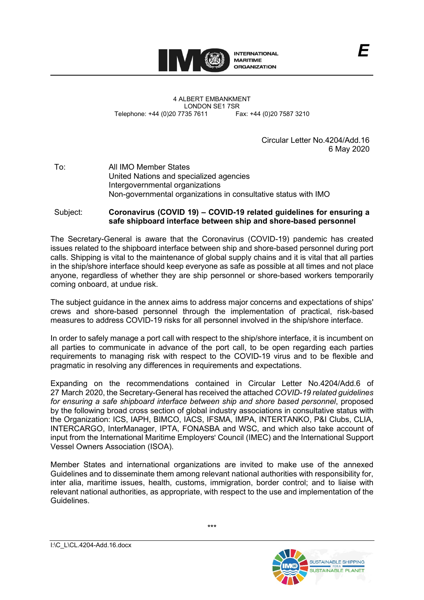

4 ALBERT EMBANKMENT LONDON SE1 7SR<br>735 7611 Fax: +44 (0)20 7587 3210 Telephone: +44 (0)20 7735 7611

> Circular Letter No.4204/Add.16 6 May 2020

To: All IMO Member States United Nations and specialized agencies Intergovernmental organizations Non-governmental organizations in consultative status with IMO

### Subject: **Coronavirus (COVID 19) – COVID-19 related guidelines for ensuring a safe shipboard interface between ship and shore-based personnel**

The Secretary-General is aware that the Coronavirus (COVID-19) pandemic has created issues related to the shipboard interface between ship and shore-based personnel during port calls. Shipping is vital to the maintenance of global supply chains and it is vital that all parties in the ship/shore interface should keep everyone as safe as possible at all times and not place anyone, regardless of whether they are ship personnel or shore-based workers temporarily coming onboard, at undue risk.

The subject guidance in the annex aims to address major concerns and expectations of shipsʹ crews and shore-based personnel through the implementation of practical, risk-based measures to address COVID-19 risks for all personnel involved in the ship/shore interface.

In order to safely manage a port call with respect to the ship/shore interface, it is incumbent on all parties to communicate in advance of the port call, to be open regarding each parties requirements to managing risk with respect to the COVID-19 virus and to be flexible and pragmatic in resolving any differences in requirements and expectations.

Expanding on the recommendations contained in Circular Letter No.4204/Add.6 of 27 March 2020, the Secretary-General has received the attached *COVID-19 related guidelines for ensuring a safe shipboard interface between ship and shore based personnel*, proposed by the following broad cross section of global industry associations in consultative status with the Organization: ICS, IAPH, BIMCO, IACS, IFSMA, IMPA, INTERTANKO, P&I Clubs, CLIA, INTERCARGO, InterManager, IPTA, FONASBA and WSC, and which also take account of input from the International Maritime Employers' Council (IMEC) and the International Support Vessel Owners Association (ISOA).

Member States and international organizations are invited to make use of the annexed Guidelines and to disseminate them among relevant national authorities with responsibility for, inter alia, maritime issues, health, customs, immigration, border control; and to liaise with relevant national authorities, as appropriate, with respect to the use and implementation of the **Guidelines** 

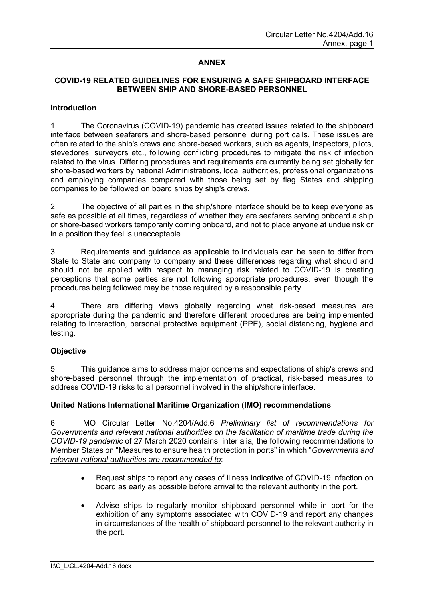# **ANNEX**

# **COVID-19 RELATED GUIDELINES FOR ENSURING A SAFE SHIPBOARD INTERFACE BETWEEN SHIP AND SHORE-BASED PERSONNEL**

### **Introduction**

1 The Coronavirus (COVID-19) pandemic has created issues related to the shipboard interface between seafarers and shore-based personnel during port calls. These issues are often related to the shipʹs crews and shore-based workers, such as agents, inspectors, pilots, stevedores, surveyors etc., following conflicting procedures to mitigate the risk of infection related to the virus. Differing procedures and requirements are currently being set globally for shore-based workers by national Administrations, local authorities, professional organizations and employing companies compared with those being set by flag States and shipping companies to be followed on board ships by shipʹs crews.

2 The objective of all parties in the ship/shore interface should be to keep everyone as safe as possible at all times, regardless of whether they are seafarers serving onboard a ship or shore-based workers temporarily coming onboard, and not to place anyone at undue risk or in a position they feel is unacceptable.

3 Requirements and guidance as applicable to individuals can be seen to differ from State to State and company to company and these differences regarding what should and should not be applied with respect to managing risk related to COVID-19 is creating perceptions that some parties are not following appropriate procedures, even though the procedures being followed may be those required by a responsible party.

4 There are differing views globally regarding what risk-based measures are appropriate during the pandemic and therefore different procedures are being implemented relating to interaction, personal protective equipment (PPE), social distancing, hygiene and testing.

# **Objective**

5 This guidance aims to address major concerns and expectations of shipʹs crews and shore-based personnel through the implementation of practical, risk-based measures to address COVID-19 risks to all personnel involved in the ship/shore interface.

# **United Nations International Maritime Organization (IMO) recommendations**

6 IMO Circular Letter No.4204/Add.6 *Preliminary list of recommendations for Governments and relevant national authorities on the facilitation of maritime trade during the COVID-19 pandemic* of 27 March 2020 contains, inter alia*,* the following recommendations to Member States on "Measures to ensure health protection in ports" in which "*Governments and relevant national authorities are recommended to*:

- Request ships to report any cases of illness indicative of COVID-19 infection on board as early as possible before arrival to the relevant authority in the port.
- Advise ships to regularly monitor shipboard personnel while in port for the exhibition of any symptoms associated with COVID-19 and report any changes in circumstances of the health of shipboard personnel to the relevant authority in the port.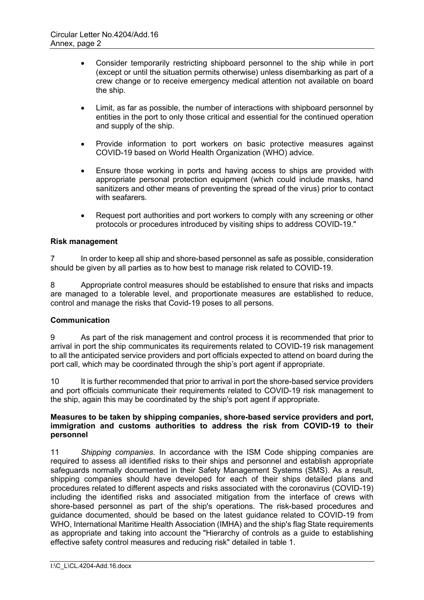- Consider temporarily restricting shipboard personnel to the ship while in port (except or until the situation permits otherwise) unless disembarking as part of a crew change or to receive emergency medical attention not available on board the ship.
- Limit, as far as possible, the number of interactions with shipboard personnel by entities in the port to only those critical and essential for the continued operation and supply of the ship.
- Provide information to port workers on basic protective measures against COVID-19 based on World Health Organization (WHO) advice.
- Ensure those working in ports and having access to ships are provided with appropriate personal protection equipment (which could include masks, hand sanitizers and other means of preventing the spread of the virus) prior to contact with seafarers.
- Request port authorities and port workers to comply with any screening or other protocols or procedures introduced by visiting ships to address COVID-19."

# **Risk management**

7 In order to keep all ship and shore-based personnel as safe as possible, consideration should be given by all parties as to how best to manage risk related to COVID-19.

8 Appropriate control measures should be established to ensure that risks and impacts are managed to a tolerable level, and proportionate measures are established to reduce, control and manage the risks that Covid-19 poses to all persons.

# **Communication**

9 As part of the risk management and control process it is recommended that prior to arrival in port the ship communicates its requirements related to COVID-19 risk management to all the anticipated service providers and port officials expected to attend on board during the port call, which may be coordinated through the ship's port agent if appropriate.

10 It is further recommended that prior to arrival in port the shore-based service providers and port officials communicate their requirements related to COVID-19 risk management to the ship, again this may be coordinated by the shipʹs port agent if appropriate.

### **Measures to be taken by shipping companies, shore-based service providers and port, immigration and customs authorities to address the risk from COVID-19 to their personnel**

11 *Shipping companies*. In accordance with the ISM Code shipping companies are required to assess all identified risks to their ships and personnel and establish appropriate safeguards normally documented in their Safety Management Systems (SMS). As a result, shipping companies should have developed for each of their ships detailed plans and procedures related to different aspects and risks associated with the coronavirus (COVID-19) including the identified risks and associated mitigation from the interface of crews with shore-based personnel as part of the shipʹs operations. The risk-based procedures and guidance documented, should be based on the latest guidance related to COVID-19 from WHO, International Maritime Health Association (IMHA) and the shipʹs flag State requirements as appropriate and taking into account the "Hierarchy of controls as a guide to establishing effective safety control measures and reducing risk" detailed in table 1.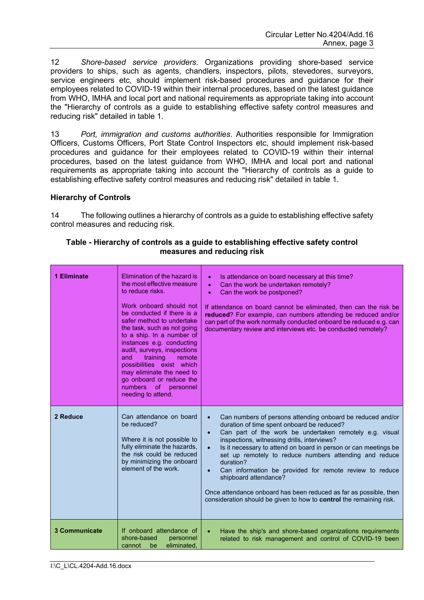12 *Shore-based service providers*. Organizations providing shore-based service providers to ships, such as agents, chandlers, inspectors, pilots, stevedores, surveyors, service engineers etc, should implement risk-based procedures and guidance for their employees related to COVID-19 within their internal procedures, based on the latest guidance from WHO, IMHA and local port and national requirements as appropriate taking into account the "Hierarchy of controls as a quide to establishing effective safety control measures and reducing risk" detailed in table 1.

13 *Port, immigration and customs authorities*. Authorities responsible for Immigration Officers, Customs Officers, Port State Control Inspectors etc, should implement risk-based procedures and guidance for their employees related to COVID-19 within their internal procedures, based on the latest guidance from WHO, IMHA and local port and national requirements as appropriate taking into account the "Hierarchy of controls as a guide to establishing effective safety control measures and reducing risk" detailed in table 1.

### **Hierarchy of Controls**

14 The following outlines a hierarchy of controls as a guide to establishing effective safety control measures and reducing risk.

| 1 Eliminate          | Elimination of the hazard is<br>the most effective measure<br>to reduce risks.<br>Work onboard should not<br>be conducted if there is a<br>safer method to undertake<br>the task, such as not going<br>to a ship. In a number of<br>instances e.g. conducting<br>audit, surveys, inspections<br>training<br>and<br>remote<br>possibilities exist which<br>may eliminate the need to<br>go onboard or reduce the<br>numbers<br><sub>of</sub><br>personnel<br>needing to attend. | Is attendance on board necessary at this time?<br>$\bullet$<br>Can the work be undertaken remotely?<br>$\bullet$<br>Can the work be postponed?<br>$\bullet$<br>If attendance on board cannot be eliminated, then can the risk be<br>reduced? For example, can numbers attending be reduced and/or<br>can part of the work normally conducted onboard be reduced e.g. can<br>documentary review and interviews etc. be conducted remotely?                                                                                                                                                                                                               |
|----------------------|--------------------------------------------------------------------------------------------------------------------------------------------------------------------------------------------------------------------------------------------------------------------------------------------------------------------------------------------------------------------------------------------------------------------------------------------------------------------------------|---------------------------------------------------------------------------------------------------------------------------------------------------------------------------------------------------------------------------------------------------------------------------------------------------------------------------------------------------------------------------------------------------------------------------------------------------------------------------------------------------------------------------------------------------------------------------------------------------------------------------------------------------------|
| 2 Reduce             | Can attendance on board<br>be reduced?<br>Where it is not possible to<br>fully eliminate the hazards,<br>the risk could be reduced<br>by minimizing the onboard<br>element of the work.                                                                                                                                                                                                                                                                                        | Can numbers of persons attending onboard be reduced and/or<br>$\bullet$<br>duration of time spent onboard be reduced?<br>Can part of the work be undertaken remotely e.g. visual<br>$\bullet$<br>inspections, witnessing drills, interviews?<br>Is it necessary to attend on board in person or can meetings be<br>$\bullet$<br>set up remotely to reduce numbers attending and reduce<br>duration?<br>Can information be provided for remote review to reduce<br>$\bullet$<br>shipboard attendance?<br>Once attendance onboard has been reduced as far as possible, then<br>consideration should be given to how to <b>control</b> the remaining risk. |
| <b>3 Communicate</b> | If onboard attendance of<br>shore-based<br>personnel<br>eliminated.<br>cannot<br>be                                                                                                                                                                                                                                                                                                                                                                                            | Have the ship's and shore-based organizations requirements<br>$\bullet$<br>related to risk management and control of COVID-19 been                                                                                                                                                                                                                                                                                                                                                                                                                                                                                                                      |

### **Table - Hierarchy of controls as a guide to establishing effective safety control measures and reducing risk**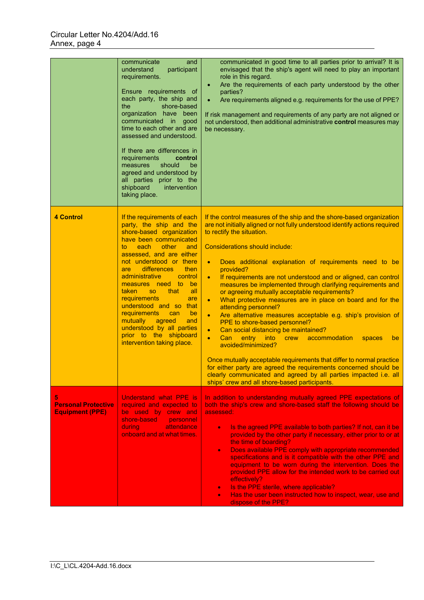|                                                           | communicate<br>and<br>understand<br>participant<br>requirements.<br>Ensure requirements of<br>each party, the ship and<br>the<br>shore-based<br>organization have been<br>communicated in good<br>time to each other and are<br>assessed and understood.<br>If there are differences in<br>requirements<br>control<br>should<br>be<br>measures<br>agreed and understood by<br>all parties prior to the<br>shipboard<br>intervention<br>taking place.                                                                                                       | communicated in good time to all parties prior to arrival? It is<br>envisaged that the ship's agent will need to play an important<br>role in this regard.<br>Are the requirements of each party understood by the other<br>$\bullet$<br>parties?<br>Are requirements aligned e.g. requirements for the use of PPE?<br>$\bullet$<br>If risk management and requirements of any party are not aligned or<br>not understood, then additional administrative control measures may<br>be necessary.                                                                                                                                                                                                                                                                                                                                                                                                                                                                                                                                                                                                                                                      |
|-----------------------------------------------------------|------------------------------------------------------------------------------------------------------------------------------------------------------------------------------------------------------------------------------------------------------------------------------------------------------------------------------------------------------------------------------------------------------------------------------------------------------------------------------------------------------------------------------------------------------------|------------------------------------------------------------------------------------------------------------------------------------------------------------------------------------------------------------------------------------------------------------------------------------------------------------------------------------------------------------------------------------------------------------------------------------------------------------------------------------------------------------------------------------------------------------------------------------------------------------------------------------------------------------------------------------------------------------------------------------------------------------------------------------------------------------------------------------------------------------------------------------------------------------------------------------------------------------------------------------------------------------------------------------------------------------------------------------------------------------------------------------------------------|
| <b>4 Control</b>                                          | If the requirements of each<br>party, the ship and the<br>shore-based organization<br>have been communicated<br>each<br>other<br>and<br>to.<br>assessed, and are either<br>not understood or there<br>differences<br>then<br>are<br>administrative<br><b>Control</b><br>measures need to<br>be<br>that<br>taken<br>all<br>SO <sub>1</sub><br><b>requirements</b><br>are<br>understood and so<br>that<br><b>requirements</b><br>be<br>can<br>mutually<br>agreed<br>and<br>understood by all parties<br>prior to the shipboard<br>intervention taking place. | If the control measures of the ship and the shore-based organization<br>are not initially aligned or not fully understood identify actions required<br>to rectify the situation.<br>Considerations should include:<br>Does additional explanation of requirements need to be<br>$\bullet$<br>provided?<br>If requirements are not understood and or aligned, can control<br>$\bullet$<br>measures be implemented through clarifying requirements and<br>or agreeing mutually acceptable requirements?<br>What protective measures are in place on board and for the<br>$\bullet$<br>attending personnel?<br>Are alternative measures acceptable e.g. ship's provision of<br>$\bullet$<br>PPE to shore-based personnel?<br>Can social distancing be maintained?<br>$\bullet$<br>Can<br>entry<br><b>into</b><br>crew accommodation<br>$\bullet$<br>spaces<br>be<br>avoided/minimized?<br>Once mutually acceptable requirements that differ to normal practice<br>for either party are agreed the requirements concerned should be<br>clearly communicated and agreed by all parties impacted i.e. all<br>ships' crew and all shore-based participants. |
| 5<br><b>Personal Protective</b><br><b>Equipment (PPE)</b> | <b>Understand what PPE is</b><br>required and expected to<br>be used by crew and<br>shore-based<br>personnel<br>during<br>attendance<br>onboard and at what times.                                                                                                                                                                                                                                                                                                                                                                                         | In addition to understanding mutually agreed PPE expectations of<br>both the ship's crew and shore-based staff the following should be<br>assessed:<br>Is the agreed PPE available to both parties? If not, can it be<br>$\bullet$<br>provided by the other party if necessary, either prior to or at<br>the time of boarding?<br>Does available PPE comply with appropriate recommended<br>$\bullet$<br>specifications and is it compatible with the other PPE and<br>equipment to be worn during the intervention. Does the<br>provided PPE allow for the intended work to be carried out<br>effectively?<br>Is the PPE sterile, where applicable?<br>$\bullet$<br>Has the user been instructed how to inspect, wear, use and<br>dispose of the PPE?                                                                                                                                                                                                                                                                                                                                                                                               |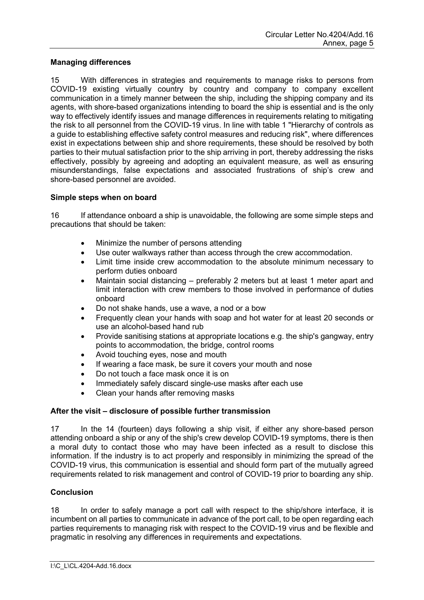# **Managing differences**

15 With differences in strategies and requirements to manage risks to persons from COVID-19 existing virtually country by country and company to company excellent communication in a timely manner between the ship, including the shipping company and its agents, with shore-based organizations intending to board the ship is essential and is the only way to effectively identify issues and manage differences in requirements relating to mitigating the risk to all personnel from the COVID-19 virus. In line with table 1 "Hierarchy of controls as a guide to establishing effective safety control measures and reducing risk", where differences exist in expectations between ship and shore requirements, these should be resolved by both parties to their mutual satisfaction prior to the ship arriving in port, thereby addressing the risks effectively, possibly by agreeing and adopting an equivalent measure, as well as ensuring misunderstandings, false expectations and associated frustrations of ship's crew and shore-based personnel are avoided.

### **Simple steps when on board**

16 If attendance onboard a ship is unavoidable, the following are some simple steps and precautions that should be taken:

- Minimize the number of persons attending
- Use outer walkways rather than access through the crew accommodation.
- Limit time inside crew accommodation to the absolute minimum necessary to perform duties onboard
- Maintain social distancing preferably 2 meters but at least 1 meter apart and limit interaction with crew members to those involved in performance of duties onboard
- Do not shake hands, use a wave, a nod or a bow
- Frequently clean your hands with soap and hot water for at least 20 seconds or use an alcohol-based hand rub
- Provide sanitising stations at appropriate locations e.g. the shipʹs gangway, entry points to accommodation, the bridge, control rooms
- Avoid touching eyes, nose and mouth
- If wearing a face mask, be sure it covers your mouth and nose
- Do not touch a face mask once it is on
- Immediately safely discard single-use masks after each use
- Clean your hands after removing masks

# **After the visit – disclosure of possible further transmission**

17 In the 14 (fourteen) days following a ship visit, if either any shore-based person attending onboard a ship or any of the shipʹs crew develop COVID-19 symptoms, there is then a moral duty to contact those who may have been infected as a result to disclose this information. If the industry is to act properly and responsibly in minimizing the spread of the COVID-19 virus, this communication is essential and should form part of the mutually agreed requirements related to risk management and control of COVID-19 prior to boarding any ship.

# **Conclusion**

18 In order to safely manage a port call with respect to the ship/shore interface, it is incumbent on all parties to communicate in advance of the port call, to be open regarding each parties requirements to managing risk with respect to the COVID-19 virus and be flexible and pragmatic in resolving any differences in requirements and expectations.